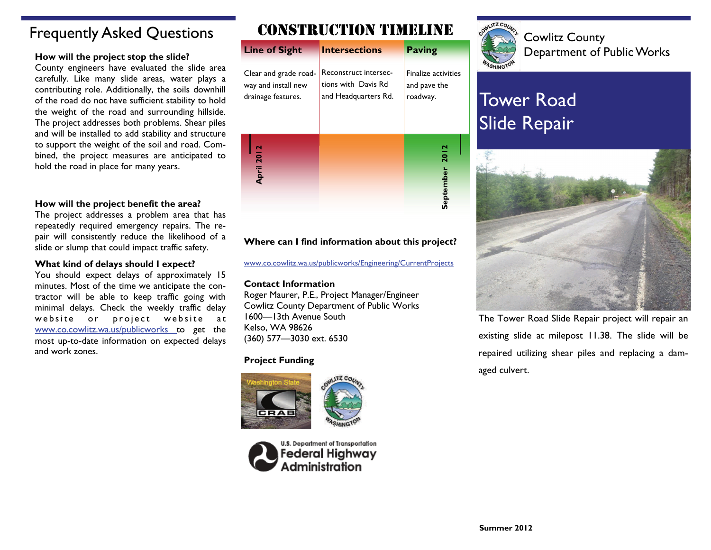## Frequently Asked Questions

#### **How will the project stop the slide?**

County engineers have evaluated the slide area carefully. Like many slide areas, water plays a contributing role. Additionally, the soils downhill of the road do not have sufficient stability to hold the weight of the road and surrounding hillside. The project addresses both problems. Shear piles and will be installed to add stability and structure to support the weight of the soil and road. Combined, the project measures are anticipated to hold the road in place for many years.

#### **How will the project benefit the area?**

The project addresses a problem area that has repeatedly required emergency repairs. The repair will consistently reduce the likelihood of a slide or slump that could impact traffic safety.

#### **What kind of delays should I expect?**

You should expect delays of approximately 15 minutes. Most of the time we anticipate the contractor will be able to keep traffic going with minimal delays. Check the weekly traffic delay website or project website at [www.co.cowlitz.wa.us/publicworks](http://www.co.cowlitz.wa.us/publicworks/Engineering/CurrentProjects.htm) to get the most up-to-date information on expected delays and work zones.

## CONSTRUCTION TIMELINE



### **Where can I find information about this project?**

[www.co.cowlitz.wa.us/publicworks/Engineering/CurrentProjects](http://www.co.cowlitz.wa.us/publicworks/Engineering/CurrentProjects.htm)

#### **Contact Information**

Roger Maurer, P.E., Project Manager/Engineer Cowlitz County Department of Public Works 1600—13th Avenue South Kelso, WA 98626 (360) 577—3030 ext. 6530

### **Project Funding**







Cowlitz County Department of Public Works

# Tower Road Slide Repair



The Tower Road Slide Repair project will repair an existing slide at milepost 11.38. The slide will be repaired utilizing shear piles and replacing a damaged culvert.